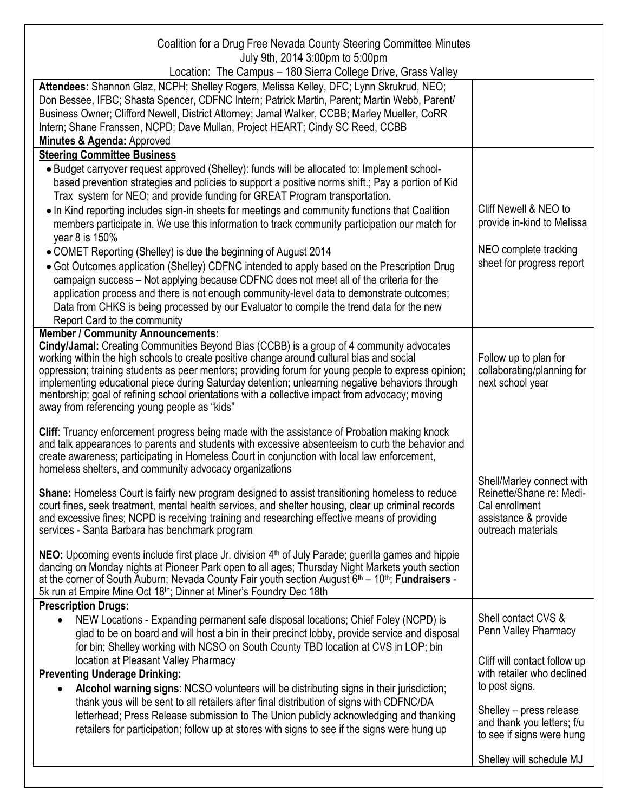| Coalition for a Drug Free Nevada County Steering Committee Minutes<br>July 9th, 2014 3:00pm to 5:00pm<br>Location: The Campus - 180 Sierra College Drive, Grass Valley                                                                                                                                                                                                                                                                                                                                                                             |                                                                                                                       |
|----------------------------------------------------------------------------------------------------------------------------------------------------------------------------------------------------------------------------------------------------------------------------------------------------------------------------------------------------------------------------------------------------------------------------------------------------------------------------------------------------------------------------------------------------|-----------------------------------------------------------------------------------------------------------------------|
| Attendees: Shannon Glaz, NCPH; Shelley Rogers, Melissa Kelley, DFC; Lynn Skrukrud, NEO;<br>Don Bessee, IFBC; Shasta Spencer, CDFNC Intern; Patrick Martin, Parent; Martin Webb, Parent/<br>Business Owner; Clifford Newell, District Attorney; Jamal Walker, CCBB; Marley Mueller, CoRR<br>Intern; Shane Franssen, NCPD; Dave Mullan, Project HEART; Cindy SC Reed, CCBB<br>Minutes & Agenda: Approved                                                                                                                                             |                                                                                                                       |
| <b>Steering Committee Business</b>                                                                                                                                                                                                                                                                                                                                                                                                                                                                                                                 |                                                                                                                       |
| • Budget carryover request approved (Shelley): funds will be allocated to: Implement school-<br>based prevention strategies and policies to support a positive norms shift.; Pay a portion of Kid<br>Trax system for NEO; and provide funding for GREAT Program transportation.<br>• In Kind reporting includes sign-in sheets for meetings and community functions that Coalition                                                                                                                                                                 | Cliff Newell & NEO to                                                                                                 |
| members participate in. We use this information to track community participation our match for                                                                                                                                                                                                                                                                                                                                                                                                                                                     | provide in-kind to Melissa                                                                                            |
| year 8 is 150%                                                                                                                                                                                                                                                                                                                                                                                                                                                                                                                                     |                                                                                                                       |
| • COMET Reporting (Shelley) is due the beginning of August 2014<br>• Got Outcomes application (Shelley) CDFNC intended to apply based on the Prescription Drug<br>campaign success - Not applying because CDFNC does not meet all of the criteria for the<br>application process and there is not enough community-level data to demonstrate outcomes;<br>Data from CHKS is being processed by our Evaluator to compile the trend data for the new<br>Report Card to the community                                                                 | NEO complete tracking<br>sheet for progress report                                                                    |
| <b>Member / Community Announcements:</b>                                                                                                                                                                                                                                                                                                                                                                                                                                                                                                           |                                                                                                                       |
| Cindy/Jamal: Creating Communities Beyond Bias (CCBB) is a group of 4 community advocates<br>working within the high schools to create positive change around cultural bias and social<br>oppression; training students as peer mentors; providing forum for young people to express opinion;<br>implementing educational piece during Saturday detention; unlearning negative behaviors through<br>mentorship; goal of refining school orientations with a collective impact from advocacy; moving<br>away from referencing young people as "kids" | Follow up to plan for<br>collaborating/planning for<br>next school year                                               |
| Cliff: Truancy enforcement progress being made with the assistance of Probation making knock<br>and talk appearances to parents and students with excessive absenteeism to curb the behavior and<br>create awareness; participating in Homeless Court in conjunction with local law enforcement,<br>homeless shelters, and community advocacy organizations                                                                                                                                                                                        |                                                                                                                       |
| Shane: Homeless Court is fairly new program designed to assist transitioning homeless to reduce<br>court fines, seek treatment, mental health services, and shelter housing, clear up criminal records<br>and excessive fines; NCPD is receiving training and researching effective means of providing<br>services - Santa Barbara has benchmark program                                                                                                                                                                                           | Shell/Marley connect with<br>Reinette/Shane re: Medi-<br>Cal enrollment<br>assistance & provide<br>outreach materials |
| NEO: Upcoming events include first place Jr. division 4 <sup>th</sup> of July Parade; guerilla games and hippie<br>dancing on Monday nights at Pioneer Park open to all ages; Thursday Night Markets youth section<br>at the corner of South Auburn; Nevada County Fair youth section August $6th - 10th$ ; Fundraisers -<br>5k run at Empire Mine Oct 18 <sup>th</sup> ; Dinner at Miner's Foundry Dec 18th                                                                                                                                       |                                                                                                                       |
| <b>Prescription Drugs:</b><br>NEW Locations - Expanding permanent safe disposal locations; Chief Foley (NCPD) is<br>$\bullet$<br>glad to be on board and will host a bin in their precinct lobby, provide service and disposal<br>for bin; Shelley working with NCSO on South County TBD location at CVS in LOP; bin                                                                                                                                                                                                                               | Shell contact CVS &<br>Penn Valley Pharmacy                                                                           |
| location at Pleasant Valley Pharmacy<br><b>Preventing Underage Drinking:</b><br>Alcohol warning signs: NCSO volunteers will be distributing signs in their jurisdiction;<br>$\bullet$                                                                                                                                                                                                                                                                                                                                                              | Cliff will contact follow up<br>with retailer who declined<br>to post signs.                                          |
| thank yous will be sent to all retailers after final distribution of signs with CDFNC/DA<br>letterhead; Press Release submission to The Union publicly acknowledging and thanking<br>retailers for participation; follow up at stores with signs to see if the signs were hung up                                                                                                                                                                                                                                                                  | Shelley - press release<br>and thank you letters; f/u<br>to see if signs were hung                                    |
|                                                                                                                                                                                                                                                                                                                                                                                                                                                                                                                                                    | Shelley will schedule MJ                                                                                              |